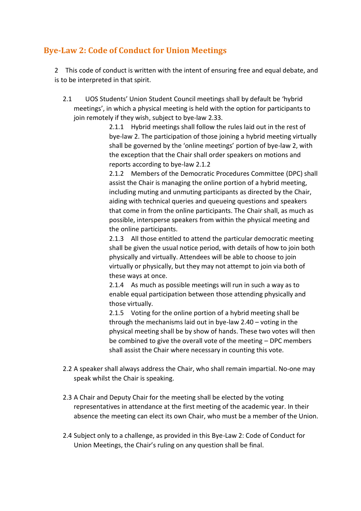# **Bye-Law 2: Code of Conduct for Union Meetings**

2 This code of conduct is written with the intent of ensuring free and equal debate, and is to be interpreted in that spirit.

2.1 UOS Students' Union Student Council meetings shall by default be 'hybrid meetings', in which a physical meeting is held with the option for participants to join remotely if they wish, subject to bye-law 2.33.

> 2.1.1 Hybrid meetings shall follow the rules laid out in the rest of bye-law 2. The participation of those joining a hybrid meeting virtually shall be governed by the 'online meetings' portion of bye-law 2, with the exception that the Chair shall order speakers on motions and reports according to bye-law 2.1.2

> 2.1.2 Members of the Democratic Procedures Committee (DPC) shall assist the Chair is managing the online portion of a hybrid meeting, including muting and unmuting participants as directed by the Chair, aiding with technical queries and queueing questions and speakers that come in from the online participants. The Chair shall, as much as possible, intersperse speakers from within the physical meeting and the online participants.

2.1.3 All those entitled to attend the particular democratic meeting shall be given the usual notice period, with details of how to join both physically and virtually. Attendees will be able to choose to join virtually or physically, but they may not attempt to join via both of these ways at once.

2.1.4 As much as possible meetings will run in such a way as to enable equal participation between those attending physically and those virtually.

2.1.5 Voting for the online portion of a hybrid meeting shall be through the mechanisms laid out in bye-law 2.40 – voting in the physical meeting shall be by show of hands. These two votes will then be combined to give the overall vote of the meeting – DPC members shall assist the Chair where necessary in counting this vote.

- 2.2 A speaker shall always address the Chair, who shall remain impartial. No-one may speak whilst the Chair is speaking.
- 2.3 A Chair and Deputy Chair for the meeting shall be elected by the voting representatives in attendance at the first meeting of the academic year. In their absence the meeting can elect its own Chair, who must be a member of the Union.
- 2.4 Subject only to a challenge, as provided in this Bye-Law 2: Code of Conduct for Union Meetings, the Chair's ruling on any question shall be final.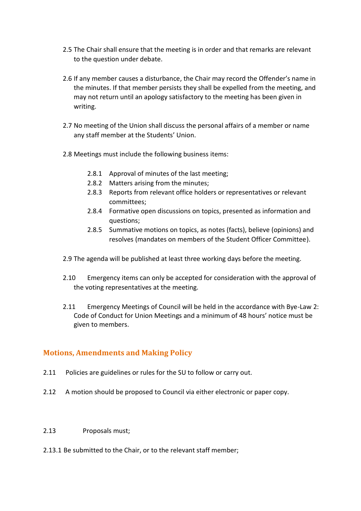- 2.5 The Chair shall ensure that the meeting is in order and that remarks are relevant to the question under debate.
- 2.6 If any member causes a disturbance, the Chair may record the Offender's name in the minutes. If that member persists they shall be expelled from the meeting, and may not return until an apology satisfactory to the meeting has been given in writing.
- 2.7 No meeting of the Union shall discuss the personal affairs of a member or name any staff member at the Students' Union.
- 2.8 Meetings must include the following business items:
	- 2.8.1 Approval of minutes of the last meeting;
	- 2.8.2 Matters arising from the minutes;
	- 2.8.3 Reports from relevant office holders or representatives or relevant committees;
	- 2.8.4 Formative open discussions on topics, presented as information and questions;
	- 2.8.5 Summative motions on topics, as notes (facts), believe (opinions) and resolves (mandates on members of the Student Officer Committee).
- 2.9 The agenda will be published at least three working days before the meeting.
- 2.10 Emergency items can only be accepted for consideration with the approval of the voting representatives at the meeting.
- 2.11 Emergency Meetings of Council will be held in the accordance with Bye-Law 2: Code of Conduct for Union Meetings and a minimum of 48 hours' notice must be given to members.

## **Motions, Amendments and Making Policy**

- 2.11 Policies are guidelines or rules for the SU to follow or carry out.
- 2.12 A motion should be proposed to Council via either electronic or paper copy.

#### 2.13 Proposals must;

2.13.1 Be submitted to the Chair, or to the relevant staff member;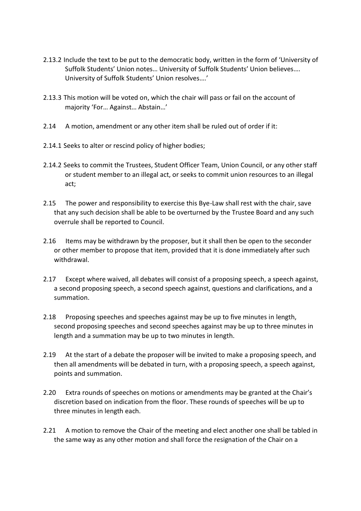- 2.13.2 Include the text to be put to the democratic body, written in the form of 'University of Suffolk Students' Union notes… University of Suffolk Students' Union believes…. University of Suffolk Students' Union resolves….'
- 2.13.3 This motion will be voted on, which the chair will pass or fail on the account of majority 'For… Against… Abstain…'
- 2.14 A motion, amendment or any other item shall be ruled out of order if it:
- 2.14.1 Seeks to alter or rescind policy of higher bodies;
- 2.14.2 Seeks to commit the Trustees, Student Officer Team, Union Council, or any other staff or student member to an illegal act, or seeks to commit union resources to an illegal act;
- 2.15 The power and responsibility to exercise this Bye-Law shall rest with the chair, save that any such decision shall be able to be overturned by the Trustee Board and any such overrule shall be reported to Council.
- 2.16 Items may be withdrawn by the proposer, but it shall then be open to the seconder or other member to propose that item, provided that it is done immediately after such withdrawal.
- 2.17 Except where waived, all debates will consist of a proposing speech, a speech against, a second proposing speech, a second speech against, questions and clarifications, and a summation.
- 2.18 Proposing speeches and speeches against may be up to five minutes in length, second proposing speeches and second speeches against may be up to three minutes in length and a summation may be up to two minutes in length.
- 2.19 At the start of a debate the proposer will be invited to make a proposing speech, and then all amendments will be debated in turn, with a proposing speech, a speech against, points and summation.
- 2.20 Extra rounds of speeches on motions or amendments may be granted at the Chair's discretion based on indication from the floor. These rounds of speeches will be up to three minutes in length each.
- 2.21 A motion to remove the Chair of the meeting and elect another one shall be tabled in the same way as any other motion and shall force the resignation of the Chair on a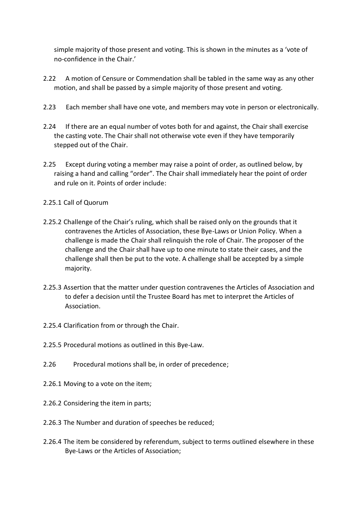simple majority of those present and voting. This is shown in the minutes as a 'vote of no-confidence in the Chair.'

- 2.22 A motion of Censure or Commendation shall be tabled in the same way as any other motion, and shall be passed by a simple majority of those present and voting.
- 2.23 Each member shall have one vote, and members may vote in person or electronically.
- 2.24 If there are an equal number of votes both for and against, the Chair shall exercise the casting vote. The Chair shall not otherwise vote even if they have temporarily stepped out of the Chair.
- 2.25 Except during voting a member may raise a point of order, as outlined below, by raising a hand and calling "order". The Chair shall immediately hear the point of order and rule on it. Points of order include:
- 2.25.1 Call of Quorum
- 2.25.2 Challenge of the Chair's ruling, which shall be raised only on the grounds that it contravenes the Articles of Association, these Bye-Laws or Union Policy. When a challenge is made the Chair shall relinquish the role of Chair. The proposer of the challenge and the Chair shall have up to one minute to state their cases, and the challenge shall then be put to the vote. A challenge shall be accepted by a simple majority.
- 2.25.3 Assertion that the matter under question contravenes the Articles of Association and to defer a decision until the Trustee Board has met to interpret the Articles of Association.
- 2.25.4 Clarification from or through the Chair.
- 2.25.5 Procedural motions as outlined in this Bye-Law.
- 2.26 Procedural motions shall be, in order of precedence;
- 2.26.1 Moving to a vote on the item;
- 2.26.2 Considering the item in parts;
- 2.26.3 The Number and duration of speeches be reduced;
- 2.26.4 The item be considered by referendum, subject to terms outlined elsewhere in these Bye-Laws or the Articles of Association;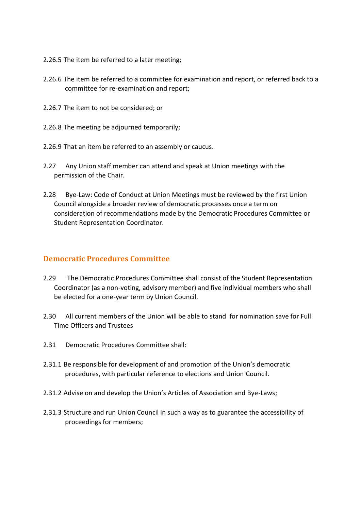- 2.26.5 The item be referred to a later meeting;
- 2.26.6 The item be referred to a committee for examination and report, or referred back to a committee for re-examination and report;
- 2.26.7 The item to not be considered; or
- 2.26.8 The meeting be adjourned temporarily;
- 2.26.9 That an item be referred to an assembly or caucus.
- 2.27 Any Union staff member can attend and speak at Union meetings with the permission of the Chair.
- 2.28 Bye-Law: Code of Conduct at Union Meetings must be reviewed by the first Union Council alongside a broader review of democratic processes once a term on consideration of recommendations made by the Democratic Procedures Committee or Student Representation Coordinator.

### **Democratic Procedures Committee**

- 2.29 The Democratic Procedures Committee shall consist of the Student Representation Coordinator (as a non-voting, advisory member) and five individual members who shall be elected for a one-year term by Union Council.
- 2.30 All current members of the Union will be able to stand for nomination save for Full Time Officers and Trustees
- 2.31 Democratic Procedures Committee shall:
- 2.31.1 Be responsible for development of and promotion of the Union's democratic procedures, with particular reference to elections and Union Council.
- 2.31.2 Advise on and develop the Union's Articles of Association and Bye-Laws;
- 2.31.3 Structure and run Union Council in such a way as to guarantee the accessibility of proceedings for members;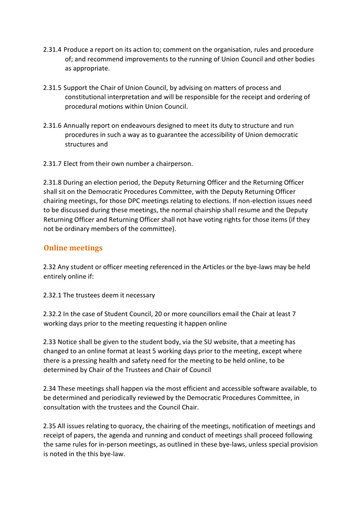- 2.31.4 Produce a report on its action to; comment on the organisation, rules and procedure of; and recommend improvements to the running of Union Council and other bodies as appropriate.
- 2.31.5 Support the Chair of Union Council, by advising on matters of process and constitutional interpretation and will be responsible for the receipt and ordering of procedural motions within Union Council.
- 2.31.6 Annually report on endeavours designed to meet its duty to structure and run procedures in such a way as to guarantee the accessibility of Union democratic structures and
- 2.31.7 Elect from their own number a chairperson.

2.31.8 During an election period, the Deputy Returning Officer and the Returning Officer shall sit on the Democratic Procedures Committee, with the Deputy Returning Officer chairing meetings, for those DPC meetings relating to elections. If non-election issues need to be discussed during these meetings, the normal chairship shall resume and the Deputy Returning Officer and Returning Officer shall not have voting rights for those items (if they not be ordinary members of the committee).

## **Online meetings**

2.32 Any student or officer meeting referenced in the Articles or the bye-laws may be held entirely online if:

2.32.1 The trustees deem it necessary

2.32.2 In the case of Student Council, 20 or more councillors email the Chair at least 7 working days prior to the meeting requesting it happen online

2.33 Notice shall be given to the student body, via the SU website, that a meeting has changed to an online format at least 5 working days prior to the meeting, except where there is a pressing health and safety need for the meeting to be held online, to be determined by Chair of the Trustees and Chair of Council

2.34 These meetings shall happen via the most efficient and accessible software available, to be determined and periodically reviewed by the Democratic Procedures Committee, in consultation with the trustees and the Council Chair.

2.35 All issues relating to quoracy, the chairing of the meetings, notification of meetings and receipt of papers, the agenda and running and conduct of meetings shall proceed following the same rules for in-person meetings, as outlined in these bye-laws, unless special provision is noted in the this bye-law.